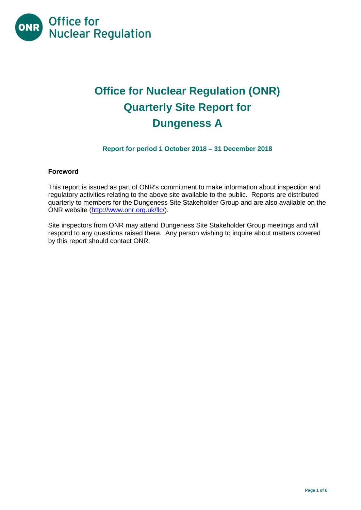

# **Office for Nuclear Regulation (ONR) Quarterly Site Report for Dungeness A**

# **Report for period 1 October 2018 – 31 December 2018**

# **Foreword**

This report is issued as part of ONR's commitment to make information about inspection and regulatory activities relating to the above site available to the public. Reports are distributed quarterly to members for the Dungeness Site Stakeholder Group and are also available on the ONR website [\(http://www.onr.org.uk/llc/\)](http://www.onr.org.uk/llc/).

Site inspectors from ONR may attend Dungeness Site Stakeholder Group meetings and will respond to any questions raised there. Any person wishing to inquire about matters covered by this report should contact ONR.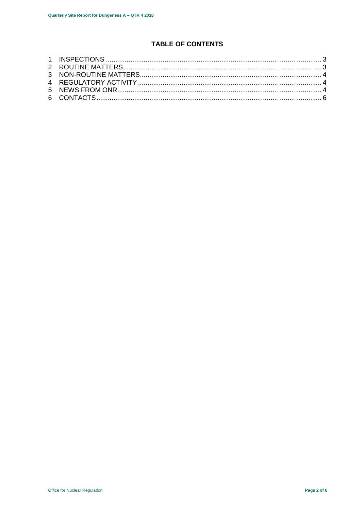# **TABLE OF CONTENTS**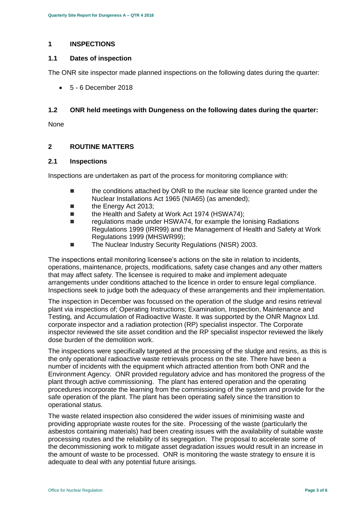#### <span id="page-2-0"></span>**1 INSPECTIONS**

#### **1.1 Dates of inspection**

The ONR site inspector made planned inspections on the following dates during the quarter:

5 - 6 December 2018

#### **1.2 ONR held meetings with Dungeness on the following dates during the quarter:**

None

# <span id="page-2-1"></span>**2 ROUTINE MATTERS**

#### **2.1 Inspections**

Inspections are undertaken as part of the process for monitoring compliance with:

- **the conditions attached by ONR to the nuclear site licence granted under the** Nuclear Installations Act 1965 (NIA65) (as amended);
- the Energy Act 2013;
- the Health and Safety at Work Act 1974 (HSWA74):
- regulations made under HSWA74, for example the Ionising Radiations Regulations 1999 (IRR99) and the Management of Health and Safety at Work Regulations 1999 (MHSWR99);
- The Nuclear Industry Security Regulations (NISR) 2003.

The inspections entail monitoring licensee's actions on the site in relation to incidents, operations, maintenance, projects, modifications, safety case changes and any other matters that may affect safety. The licensee is required to make and implement adequate arrangements under conditions attached to the licence in order to ensure legal compliance. Inspections seek to judge both the adequacy of these arrangements and their implementation.

The inspection in December was focussed on the operation of the sludge and resins retrieval plant via inspections of; Operating Instructions; Examination, Inspection, Maintenance and Testing, and Accumulation of Radioactive Waste. It was supported by the ONR Magnox Ltd. corporate inspector and a radiation protection (RP) specialist inspector. The Corporate inspector reviewed the site asset condition and the RP specialist inspector reviewed the likely dose burden of the demolition work.

The inspections were specifically targeted at the processing of the sludge and resins, as this is the only operational radioactive waste retrievals process on the site. There have been a number of incidents with the equipment which attracted attention from both ONR and the Environment Agency. ONR provided regulatory advice and has monitored the progress of the plant through active commissioning. The plant has entered operation and the operating procedures incorporate the learning from the commissioning of the system and provide for the safe operation of the plant. The plant has been operating safely since the transition to operational status.

The waste related inspection also considered the wider issues of minimising waste and providing appropriate waste routes for the site. Processing of the waste (particularly the asbestos containing materials) had been creating issues with the availability of suitable waste processing routes and the reliability of its segregation. The proposal to accelerate some of the decommissioning work to mitigate asset degradation issues would result in an increase in the amount of waste to be processed. ONR is monitoring the waste strategy to ensure it is adequate to deal with any potential future arisings.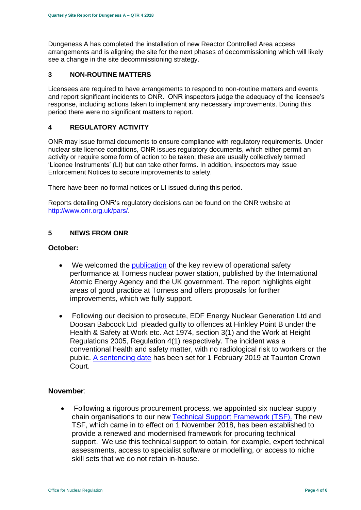Dungeness A has completed the installation of new Reactor Controlled Area access arrangements and is aligning the site for the next phases of decommissioning which will likely see a change in the site decommissioning strategy.

#### <span id="page-3-0"></span>**3 NON-ROUTINE MATTERS**

Licensees are required to have arrangements to respond to non-routine matters and events and report significant incidents to ONR. ONR inspectors judge the adequacy of the licensee's response, including actions taken to implement any necessary improvements. During this period there were no significant matters to report.

# <span id="page-3-1"></span>**4 REGULATORY ACTIVITY**

ONR may issue formal documents to ensure compliance with regulatory requirements. Under nuclear site licence conditions, ONR issues regulatory documents, which either permit an activity or require some form of action to be taken; these are usually collectively termed 'Licence Instruments' (LI) but can take other forms. In addition, inspectors may issue Enforcement Notices to secure improvements to safety.

There have been no formal notices or LI issued during this period.

Reports detailing ONR's regulatory decisions can be found on the ONR website at [http://www.onr.org.uk/pars/.](http://www.onr.org.uk/pars/)

#### <span id="page-3-2"></span>**5 NEWS FROM ONR**

# **October:**

- We welcomed the [publication](http://news.onr.org.uk/2018/10/iaea-review-torness-power-station/) of the key review of operational safety performance at Torness nuclear power station, published by the International Atomic Energy Agency and the UK government. The report highlights eight areas of good practice at Torness and offers proposals for further improvements, which we fully support.
- Following our decision to prosecute, EDF Energy Nuclear Generation Ltd and Doosan Babcock Ltd pleaded guilty to offences at Hinkley Point B under the Health & Safety at Work etc. Act 1974, section 3(1) and the Work at Height Regulations 2005, Regulation 4(1) respectively. The incident was a conventional health and safety matter, with no radiological risk to workers or the public. [A sentencing date](http://news.onr.org.uk/2018/10/edf-and-doosan-babcock-plead-guilty/) has been set for 1 February 2019 at Taunton Crown Court.

# **November**:

 Following a rigorous procurement process, we appointed six nuclear supply chain organisations to our new [Technical Support Framework \(TSF\).](http://news.onr.org.uk/2018/11/new-technical-support-framework-announced/) The new TSF, which came in to effect on 1 November 2018, has been established to provide a renewed and modernised framework for procuring technical support. We use this technical support to obtain, for example, expert technical assessments, access to specialist software or modelling, or access to niche skill sets that we do not retain in-house.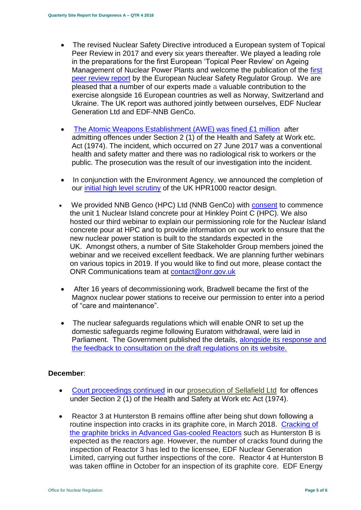- The revised Nuclear Safety Directive introduced a European system of Topical Peer Review in 2017 and every six years thereafter. We played a leading role in the preparations for the first European 'Topical Peer Review' on Ageing Management of Nuclear Power Plants and welcome the publication of the [first](http://news.onr.org.uk/2018/11/onr-welcomes-first-topical-peer-review/)  [peer review report](http://news.onr.org.uk/2018/11/onr-welcomes-first-topical-peer-review/) by the European Nuclear Safety Regulator Group. We are pleased that a number of our experts made a valuable contribution to the exercise alongside 16 European countries as well as Norway, Switzerland and Ukraine. The UK report was authored jointly between ourselves, EDF Nuclear Generation Ltd and EDF-NNB GenCo.
- [The Atomic Weapons Establishment \(AWE\) was fined £1 million](http://news.onr.org.uk/2018/11/awe-prosecution-reaction/) after admitting offences under Section 2 (1) of the Health and Safety at Work etc. Act (1974). The incident, which occurred on 27 June 2017 was a conventional health and safety matter and there was no radiological risk to workers or the public. The prosecution was the result of our investigation into the incident.
- In conjunction with the Environment Agency, we announced the completion of our [initial high level scrutiny](http://news.onr.org.uk/2018/11/uk-hpr1000-completes-gda-step-2/) of the UK HPR1000 reactor design.
- We provided NNB Genco (HPC) Ltd (NNB GenCo) with [consent](http://news.onr.org.uk/2018/11/consent-for-hinkley-point-c-nuclear-island-concrete-pour/) to commence the unit 1 Nuclear Island concrete pour at Hinkley Point C (HPC). We also hosted our third webinar to explain our permissioning role for the Nuclear Island concrete pour at HPC and to provide information on our work to ensure that the new nuclear power station is built to the standards expected in the UK. Amongst others, a number of Site Stakeholder Group members joined the webinar and we received excellent feedback. We are planning further webinars on various topics in 2019. If you would like to find out more, please contact the ONR Communications team at [contact@onr.gov.uk](mailto:contact@onr.gov.uk)
- After 16 years of decommissioning work, Bradwell became the first of the Magnox nuclear power stations to receive our permission to enter into a period of "care and maintenance".
- The nuclear safeguards regulations which will enable ONR to set up the domestic safeguards regime following Euratom withdrawal, were laid in Parliament. The Government published the details, alongside its response and [the feedback to consultation on the draft regulations on its website.](https://www.gov.uk/government/consultations/nuclear-safeguards-regulations)

# **December**:

- [Court proceedings continued](http://news.onr.org.uk/2018/12/prosecution-of-sellafield-ltd/) in our [prosecution of Sellafield Ltd](http://news.onr.org.uk/2018/07/update-prosecution-of-sellafield-ltd/) for offences under Section 2 (1) of the Health and Safety at Work etc Act (1974).
- Reactor 3 at Hunterston B remains offline after being shut down following a routine inspection into cracks in its graphite core, in March 2018. [Cracking of](http://www.onr.org.uk/civil-nuclear-reactors/graphite-core-of-agrs.htm)  [the graphite bricks in Advanced Gas-cooled Reactors](http://www.onr.org.uk/civil-nuclear-reactors/graphite-core-of-agrs.htm) such as Hunterston B is expected as the reactors age. However, the number of cracks found during the inspection of Reactor 3 has led to the licensee, EDF Nuclear Generation Limited, carrying out further inspections of the core. Reactor 4 at Hunterston B was taken offline in October for an inspection of its graphite core. EDF Energy